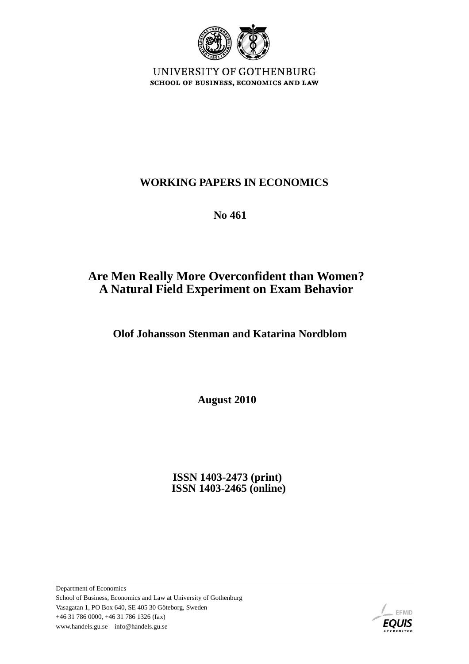

UNIVERSITY OF GOTHENBURG SCHOOL OF BUSINESS, ECONOMICS AND LAW

# **WORKING PAPERS IN ECONOMICS**

 **No 461**

# **Are Men Really More Overconfident than Women? A Natural Field Experiment on Exam Behavior**

 **Olof Johansson Stenman and Katarina Nordblom**

 **August 2010**

 **ISSN 1403-2473 (print) ISSN 1403-2465 (online)**

Department of Economics School of Business, Economics and Law at University of Gothenburg Vasagatan 1, PO Box 640, SE 405 30 Göteborg, Sweden +46 31 786 0000, +46 31 786 1326 (fax) www.handels.gu.se info@handels.gu.se

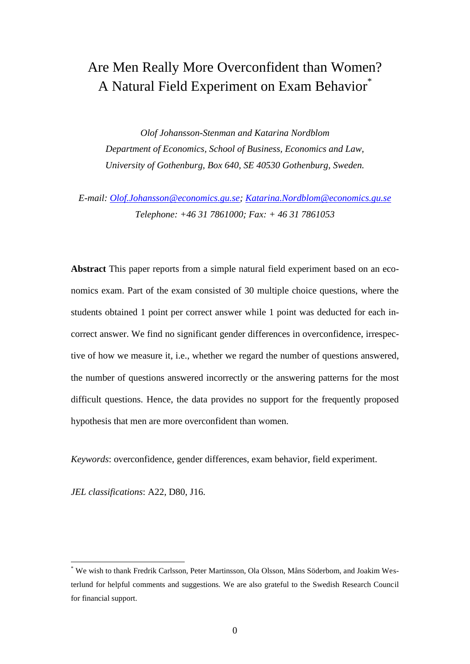# Are Men Really More Overconfident than Women? A Natural Field Experiment on Exam Behavior\*

*Olof Johansson-Stenman and Katarina Nordblom Department of Economics, School of Business, Economics and Law, University of Gothenburg, Box 640, SE 40530 Gothenburg, Sweden.*

*E-mail: [Olof.Johansson@economics.gu.se;](mailto:Olof.Johansson@economics.gu.se) [Katarina.Nordblom@economics.gu.se](mailto:Katarina.Nordblom@economics.gu.se) Telephone: +46 31 7861000; Fax: + 46 31 7861053*

**Abstract** This paper reports from a simple natural field experiment based on an economics exam. Part of the exam consisted of 30 multiple choice questions, where the students obtained 1 point per correct answer while 1 point was deducted for each incorrect answer. We find no significant gender differences in overconfidence, irrespective of how we measure it, i.e., whether we regard the number of questions answered, the number of questions answered incorrectly or the answering patterns for the most difficult questions. Hence, the data provides no support for the frequently proposed hypothesis that men are more overconfident than women.

*Keywords*: overconfidence, gender differences, exam behavior, field experiment.

*JEL classifications*: A22, D80, J16.

<sup>\*</sup> We wish to thank Fredrik Carlsson, Peter Martinsson, Ola Olsson, Måns Söderbom, and Joakim Westerlund for helpful comments and suggestions. We are also grateful to the Swedish Research Council for financial support.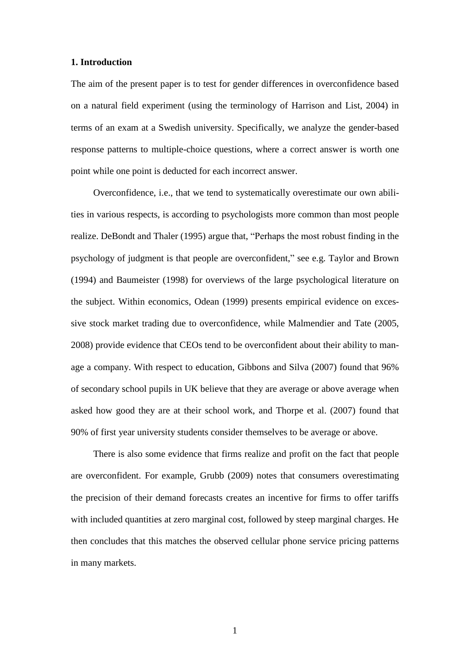#### **1. Introduction**

The aim of the present paper is to test for gender differences in overconfidence based on a natural field experiment (using the terminology of Harrison and List, 2004) in terms of an exam at a Swedish university. Specifically, we analyze the gender-based response patterns to multiple-choice questions, where a correct answer is worth one point while one point is deducted for each incorrect answer.

Overconfidence, i.e., that we tend to systematically overestimate our own abilities in various respects, is according to psychologists more common than most people realize. DeBondt and Thaler (1995) argue that, "Perhaps the most robust finding in the psychology of judgment is that people are overconfident,‖ see e.g. Taylor and Brown (1994) and Baumeister (1998) for overviews of the large psychological literature on the subject. Within economics, Odean (1999) presents empirical evidence on excessive stock market trading due to overconfidence, while Malmendier and Tate (2005, 2008) provide evidence that CEOs tend to be overconfident about their ability to manage a company. With respect to education, Gibbons and Silva (2007) found that 96% of secondary school pupils in UK believe that they are average or above average when asked how good they are at their school work, and Thorpe et al. (2007) found that 90% of first year university students consider themselves to be average or above.

There is also some evidence that firms realize and profit on the fact that people are overconfident. For example, Grubb (2009) notes that consumers overestimating the precision of their demand forecasts creates an incentive for firms to offer tariffs with included quantities at zero marginal cost, followed by steep marginal charges. He then concludes that this matches the observed cellular phone service pricing patterns in many markets.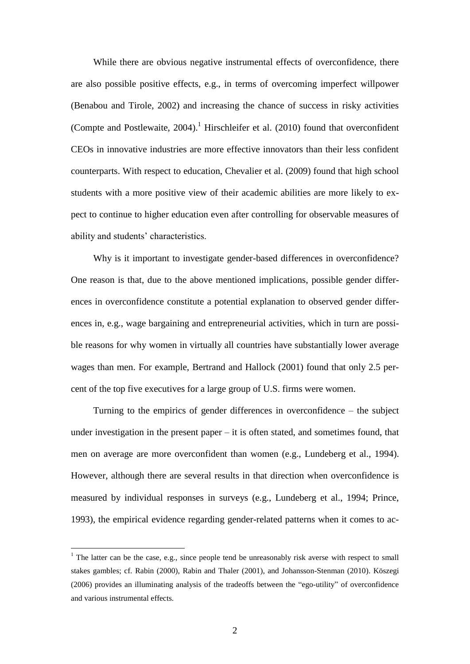While there are obvious negative instrumental effects of overconfidence, there are also possible positive effects, e.g., in terms of overcoming imperfect willpower (Benabou and Tirole, 2002) and increasing the chance of success in risky activities (Compte and Postlewaite, 2004). <sup>1</sup> Hirschleifer et al. (2010) found that overconfident CEOs in innovative industries are more effective innovators than their less confident counterparts. With respect to education, Chevalier et al. (2009) found that high school students with a more positive view of their academic abilities are more likely to expect to continue to higher education even after controlling for observable measures of ability and students' characteristics.

Why is it important to investigate gender-based differences in overconfidence? One reason is that, due to the above mentioned implications, possible gender differences in overconfidence constitute a potential explanation to observed gender differences in, e.g., wage bargaining and entrepreneurial activities, which in turn are possible reasons for why women in virtually all countries have substantially lower average wages than men. For example, Bertrand and Hallock (2001) found that only 2.5 percent of the top five executives for a large group of U.S. firms were women.

Turning to the empirics of gender differences in overconfidence – the subject under investigation in the present paper – it is often stated, and sometimes found, that men on average are more overconfident than women (e.g., Lundeberg et al., 1994). However, although there are several results in that direction when overconfidence is measured by individual responses in surveys (e.g., Lundeberg et al., 1994; Prince, 1993), the empirical evidence regarding gender-related patterns when it comes to ac-

<sup>&</sup>lt;sup>1</sup> The latter can be the case, e.g., since people tend be unreasonably risk averse with respect to small stakes gambles; cf. Rabin (2000), Rabin and Thaler (2001), and Johansson-Stenman (2010). Köszegi  $(2006)$  provides an illuminating analysis of the tradeoffs between the "ego-utility" of overconfidence and various instrumental effects.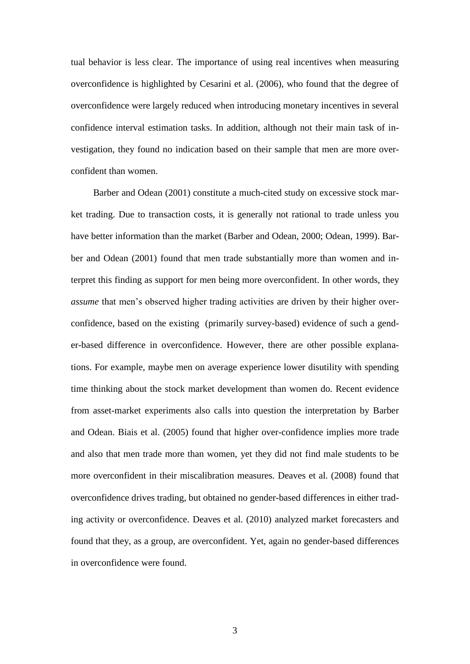tual behavior is less clear. The importance of using real incentives when measuring overconfidence is highlighted by Cesarini et al. (2006), who found that the degree of overconfidence were largely reduced when introducing monetary incentives in several confidence interval estimation tasks. In addition, although not their main task of investigation, they found no indication based on their sample that men are more overconfident than women.

Barber and Odean (2001) constitute a much-cited study on excessive stock market trading. Due to transaction costs, it is generally not rational to trade unless you have better information than the market (Barber and Odean, 2000; Odean, 1999). Barber and Odean (2001) found that men trade substantially more than women and interpret this finding as support for men being more overconfident. In other words, they *assume* that men's observed higher trading activities are driven by their higher overconfidence, based on the existing (primarily survey-based) evidence of such a gender-based difference in overconfidence. However, there are other possible explanations. For example, maybe men on average experience lower disutility with spending time thinking about the stock market development than women do. Recent evidence from asset-market experiments also calls into question the interpretation by Barber and Odean. Biais et al. (2005) found that higher over-confidence implies more trade and also that men trade more than women, yet they did not find male students to be more overconfident in their miscalibration measures. Deaves et al. (2008) found that overconfidence drives trading, but obtained no gender-based differences in either trading activity or overconfidence. Deaves et al. (2010) analyzed market forecasters and found that they, as a group, are overconfident. Yet, again no gender-based differences in overconfidence were found.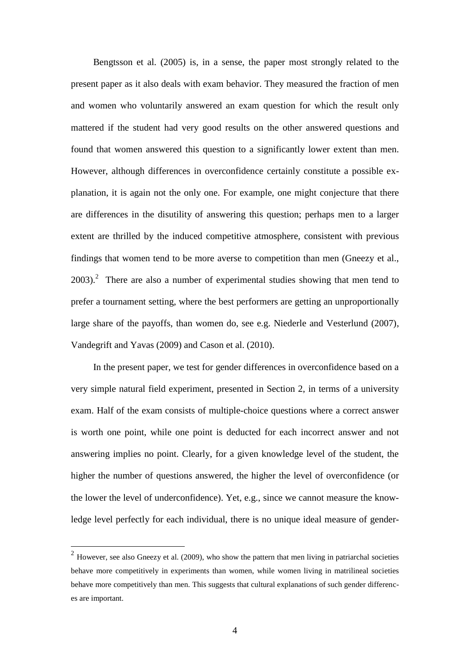Bengtsson et al. (2005) is, in a sense, the paper most strongly related to the present paper as it also deals with exam behavior. They measured the fraction of men and women who voluntarily answered an exam question for which the result only mattered if the student had very good results on the other answered questions and found that women answered this question to a significantly lower extent than men. However, although differences in overconfidence certainly constitute a possible explanation, it is again not the only one. For example, one might conjecture that there are differences in the disutility of answering this question; perhaps men to a larger extent are thrilled by the induced competitive atmosphere, consistent with previous findings that women tend to be more averse to competition than men (Gneezy et al.,  $2003$ ).<sup>2</sup> There are also a number of experimental studies showing that men tend to prefer a tournament setting, where the best performers are getting an unproportionally large share of the payoffs, than women do, see e.g. Niederle and Vesterlund (2007), Vandegrift and Yavas (2009) and Cason et al. (2010).

In the present paper, we test for gender differences in overconfidence based on a very simple natural field experiment, presented in Section 2, in terms of a university exam. Half of the exam consists of multiple-choice questions where a correct answer is worth one point, while one point is deducted for each incorrect answer and not answering implies no point. Clearly, for a given knowledge level of the student, the higher the number of questions answered, the higher the level of overconfidence (or the lower the level of underconfidence). Yet, e.g., since we cannot measure the knowledge level perfectly for each individual, there is no unique ideal measure of gender-

 $2$  However, see also Gneezy et al. (2009), who show the pattern that men living in patriarchal societies behave more competitively in experiments than women, while women living in matrilineal societies behave more competitively than men. This suggests that cultural explanations of such gender differences are important.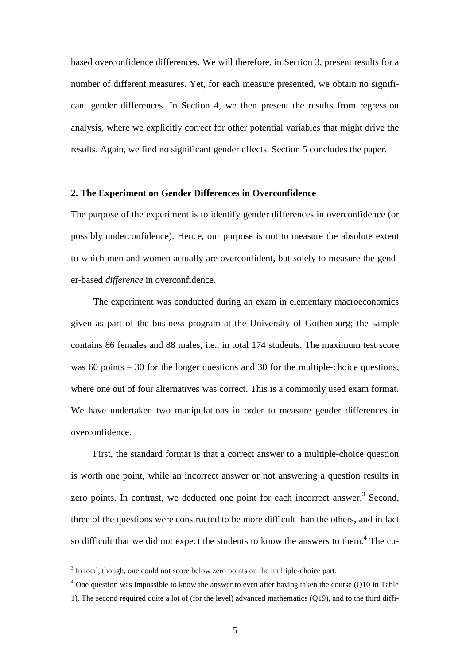based overconfidence differences. We will therefore, in Section 3, present results for a number of different measures. Yet, for each measure presented, we obtain no significant gender differences. In Section 4, we then present the results from regression analysis, where we explicitly correct for other potential variables that might drive the results. Again, we find no significant gender effects. Section 5 concludes the paper.

#### **2. The Experiment on Gender Differences in Overconfidence**

The purpose of the experiment is to identify gender differences in overconfidence (or possibly underconfidence). Hence, our purpose is not to measure the absolute extent to which men and women actually are overconfident, but solely to measure the gender-based *difference* in overconfidence.

The experiment was conducted during an exam in elementary macroeconomics given as part of the business program at the University of Gothenburg; the sample contains 86 females and 88 males, i.e., in total 174 students. The maximum test score was 60 points – 30 for the longer questions and 30 for the multiple-choice questions, where one out of four alternatives was correct. This is a commonly used exam format. We have undertaken two manipulations in order to measure gender differences in overconfidence.

First, the standard format is that a correct answer to a multiple-choice question is worth one point, while an incorrect answer or not answering a question results in zero points. In contrast, we deducted one point for each incorrect answer.<sup>3</sup> Second, three of the questions were constructed to be more difficult than the others, and in fact so difficult that we did not expect the students to know the answers to them.<sup>4</sup> The cu-

 $3$  In total, though, one could not score below zero points on the multiple-choice part.

<sup>&</sup>lt;sup>4</sup> One question was impossible to know the answer to even after having taken the course (Q10 in Table

<sup>1).</sup> The second required quite a lot of (for the level) advanced mathematics (Q19), and to the third diffi-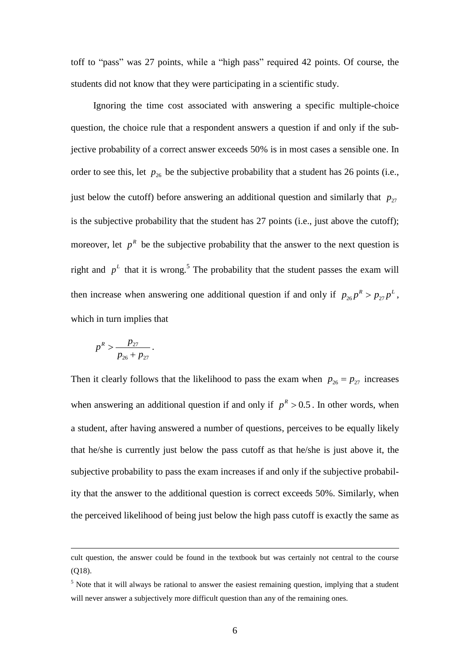toff to "pass" was 27 points, while a "high pass" required 42 points. Of course, the students did not know that they were participating in a scientific study.

Ignoring the time cost associated with answering a specific multiple-choice question, the choice rule that a respondent answers a question if and only if the subjective probability of a correct answer exceeds 50% is in most cases a sensible one. In order to see this, let  $p_{26}$  be the subjective probability that a student has 26 points (i.e., just below the cutoff) before answering an additional question and similarly that  $p_{27}$ is the subjective probability that the student has 27 points (i.e., just above the cutoff); moreover, let  $p^R$  be the subjective probability that the answer to the next question is right and  $p<sup>L</sup>$  that it is wrong.<sup>5</sup> The probability that the student passes the exam will then increase when answering one additional question if and only if  $p_{26}p^R > p_{27}$  $p_{26}p^R > p_{27}p^L$ , which in turn implies that

$$
p^R > \frac{p_{27}}{p_{26} + p_{27}}.
$$

1

Then it clearly follows that the likelihood to pass the exam when  $p_{26} = p_{27}$  increases when answering an additional question if and only if  $p^R > 0.5$ . In other words, when a student, after having answered a number of questions, perceives to be equally likely that he/she is currently just below the pass cutoff as that he/she is just above it, the subjective probability to pass the exam increases if and only if the subjective probability that the answer to the additional question is correct exceeds 50%. Similarly, when the perceived likelihood of being just below the high pass cutoff is exactly the same as

cult question, the answer could be found in the textbook but was certainly not central to the course (Q18).

 $<sup>5</sup>$  Note that it will always be rational to answer the easiest remaining question, implying that a student</sup> will never answer a subjectively more difficult question than any of the remaining ones.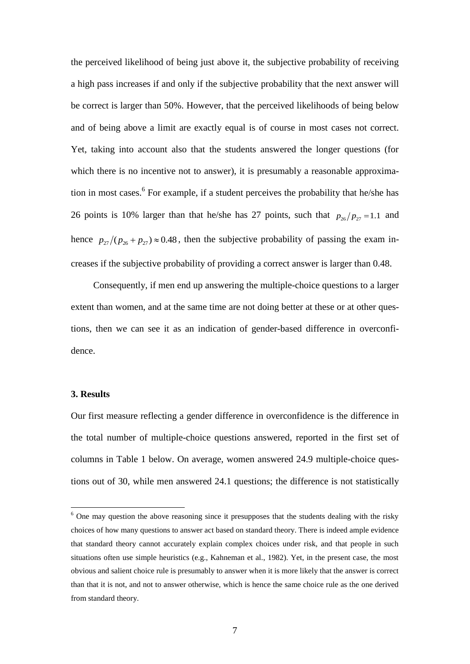the perceived likelihood of being just above it, the subjective probability of receiving a high pass increases if and only if the subjective probability that the next answer will be correct is larger than 50%. However, that the perceived likelihoods of being below and of being above a limit are exactly equal is of course in most cases not correct. Yet, taking into account also that the students answered the longer questions (for which there is no incentive not to answer), it is presumably a reasonable approximation in most cases. <sup>6</sup> For example, if a student perceives the probability that he/she has 26 points is 10% larger than that he/she has 27 points, such that  $p_{26}/p_{27} = 1.1$  and hence  $p_{27}/(p_{26}+p_{27}) \approx 0.48$ , then the subjective probability of passing the exam increases if the subjective probability of providing a correct answer is larger than 0.48.

Consequently, if men end up answering the multiple-choice questions to a larger extent than women, and at the same time are not doing better at these or at other questions, then we can see it as an indication of gender-based difference in overconfidence.

## **3. Results**

 $\overline{a}$ 

Our first measure reflecting a gender difference in overconfidence is the difference in the total number of multiple-choice questions answered, reported in the first set of columns in Table 1 below. On average, women answered 24.9 multiple-choice questions out of 30, while men answered 24.1 questions; the difference is not statistically

 $6$  One may question the above reasoning since it presupposes that the students dealing with the risky choices of how many questions to answer act based on standard theory. There is indeed ample evidence that standard theory cannot accurately explain complex choices under risk, and that people in such situations often use simple heuristics (e.g., Kahneman et al., 1982). Yet, in the present case, the most obvious and salient choice rule is presumably to answer when it is more likely that the answer is correct than that it is not, and not to answer otherwise, which is hence the same choice rule as the one derived from standard theory.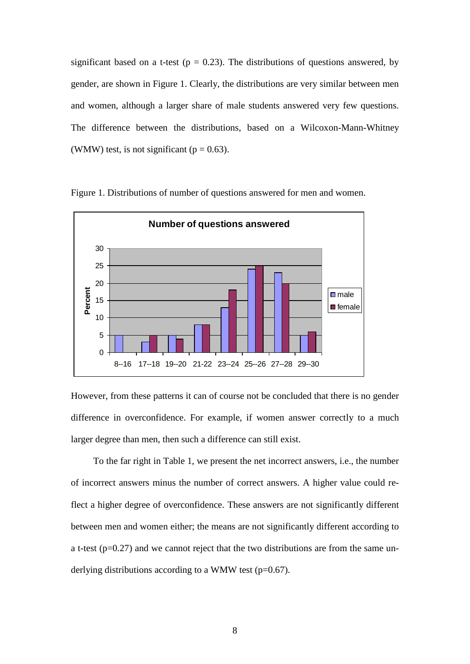significant based on a t-test ( $p = 0.23$ ). The distributions of questions answered, by gender, are shown in Figure 1. Clearly, the distributions are very similar between men and women, although a larger share of male students answered very few questions. The difference between the distributions, based on a Wilcoxon-Mann-Whitney (WMW) test, is not significant ( $p = 0.63$ ).



Figure 1. Distributions of number of questions answered for men and women.

However, from these patterns it can of course not be concluded that there is no gender difference in overconfidence. For example, if women answer correctly to a much larger degree than men, then such a difference can still exist.

To the far right in Table 1, we present the net incorrect answers, i.e., the number of incorrect answers minus the number of correct answers. A higher value could reflect a higher degree of overconfidence. These answers are not significantly different between men and women either; the means are not significantly different according to a t-test  $(p=0.27)$  and we cannot reject that the two distributions are from the same underlying distributions according to a WMW test  $(p=0.67)$ .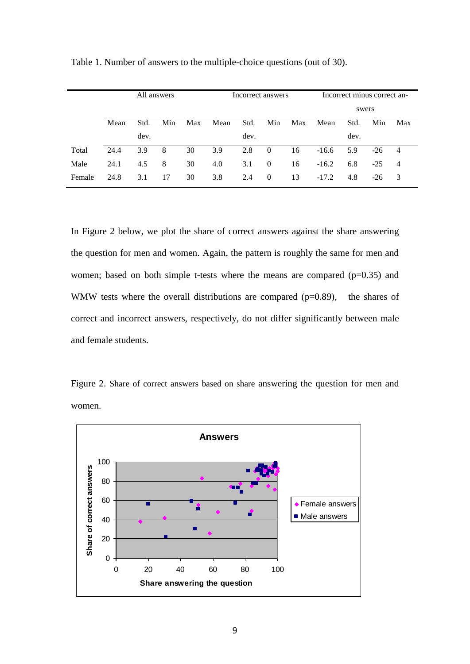|        | All answers |      |     | Incorrect answers |      |      | Incorrect minus correct an- |       |         |      |       |                |
|--------|-------------|------|-----|-------------------|------|------|-----------------------------|-------|---------|------|-------|----------------|
|        |             |      |     |                   |      |      |                             | swers |         |      |       |                |
|        | Mean        | Std. | Min | Max               | Mean | Std. | Min                         | Max   | Mean    | Std. | Min   | Max            |
|        |             | dev. |     |                   |      | dev. |                             |       |         | dev. |       |                |
| Total  | 24.4        | 3.9  | 8   | 30                | 3.9  | 2.8  | $\overline{0}$              | 16    | $-16.6$ | 5.9  | $-26$ | $\overline{4}$ |
| Male   | 24.1        | 4.5  | 8   | 30                | 4.0  | 3.1  | $\bf{0}$                    | 16    | $-16.2$ | 6.8  | $-25$ | $\overline{4}$ |
| Female | 24.8        | 3.1  | 17  | 30                | 3.8  | 2.4  | $\overline{0}$              | 13    | $-17.2$ | 4.8  | $-26$ | 3              |

Table 1. Number of answers to the multiple-choice questions (out of 30).

In Figure 2 below, we plot the share of correct answers against the share answering the question for men and women. Again, the pattern is roughly the same for men and women; based on both simple t-tests where the means are compared  $(p=0.35)$  and WMW tests where the overall distributions are compared  $(p=0.89)$ , the shares of correct and incorrect answers, respectively, do not differ significantly between male and female students.

Figure 2. Share of correct answers based on share answering the question for men and women.

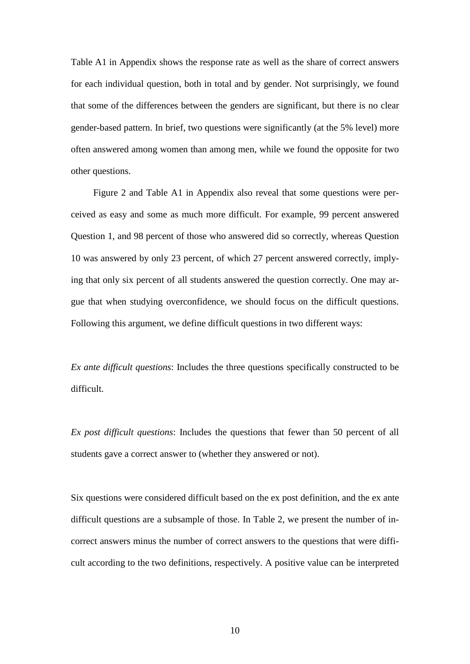Table A1 in Appendix shows the response rate as well as the share of correct answers for each individual question, both in total and by gender. Not surprisingly, we found that some of the differences between the genders are significant, but there is no clear gender-based pattern. In brief, two questions were significantly (at the 5% level) more often answered among women than among men, while we found the opposite for two other questions.

Figure 2 and Table A1 in Appendix also reveal that some questions were perceived as easy and some as much more difficult. For example, 99 percent answered Question 1, and 98 percent of those who answered did so correctly, whereas Question 10 was answered by only 23 percent, of which 27 percent answered correctly, implying that only six percent of all students answered the question correctly. One may argue that when studying overconfidence, we should focus on the difficult questions. Following this argument, we define difficult questions in two different ways:

*Ex ante difficult questions*: Includes the three questions specifically constructed to be difficult.

*Ex post difficult questions*: Includes the questions that fewer than 50 percent of all students gave a correct answer to (whether they answered or not).

Six questions were considered difficult based on the ex post definition, and the ex ante difficult questions are a subsample of those. In Table 2, we present the number of incorrect answers minus the number of correct answers to the questions that were difficult according to the two definitions, respectively. A positive value can be interpreted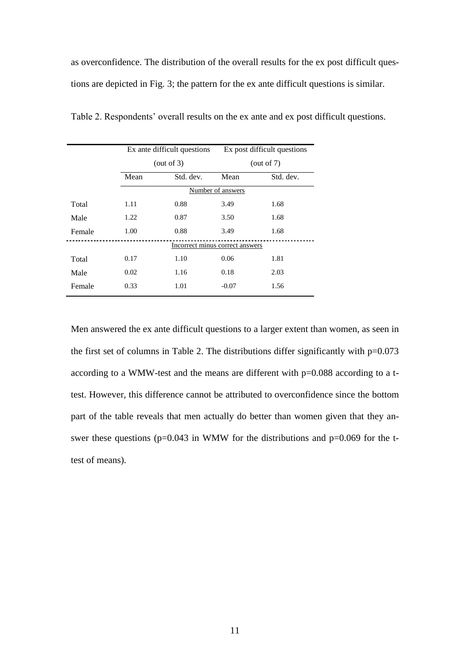as overconfidence. The distribution of the overall results for the ex post difficult questions are depicted in Fig. 3; the pattern for the ex ante difficult questions is similar.

|        |                                 | Ex ante difficult questions | Ex post difficult questions |           |  |  |
|--------|---------------------------------|-----------------------------|-----------------------------|-----------|--|--|
|        |                                 | (out of $3$ )               | (out of $7$ )               |           |  |  |
|        | Mean                            | Std. dev.                   | Mean                        | Std. dev. |  |  |
|        |                                 |                             | Number of answers           |           |  |  |
| Total  | 1.11                            | 0.88                        | 3.49                        | 1.68      |  |  |
| Male   | 1.22                            | 0.87                        | 3.50                        | 1.68      |  |  |
| Female | 1.00                            | 0.88                        | 3.49                        | 1.68      |  |  |
|        | Incorrect minus correct answers |                             |                             |           |  |  |
| Total  | 0.17                            | 1.10                        | 0.06                        | 1.81      |  |  |
| Male   | 0.02                            | 1.16                        | 0.18                        | 2.03      |  |  |
| Female | 0.33                            | 1.01                        | $-0.07$                     | 1.56      |  |  |

Table 2. Respondents' overall results on the ex ante and ex post difficult questions.

Men answered the ex ante difficult questions to a larger extent than women, as seen in the first set of columns in Table 2. The distributions differ significantly with  $p=0.073$ according to a WMW-test and the means are different with p=0.088 according to a ttest. However, this difference cannot be attributed to overconfidence since the bottom part of the table reveals that men actually do better than women given that they answer these questions ( $p=0.043$  in WMW for the distributions and  $p=0.069$  for the ttest of means).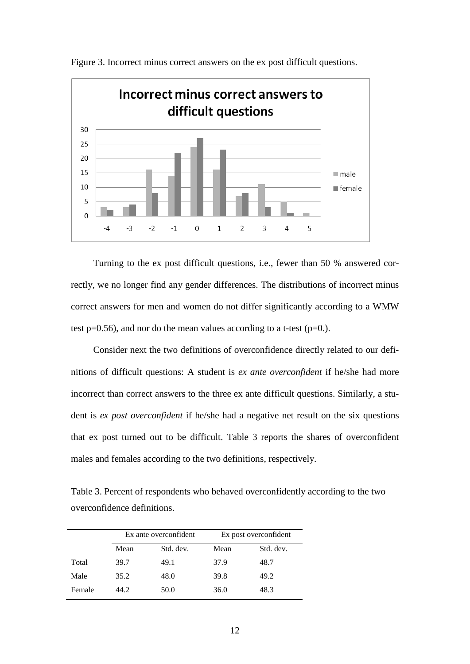

Figure 3. Incorrect minus correct answers on the ex post difficult questions.

Turning to the ex post difficult questions, i.e., fewer than 50 % answered correctly, we no longer find any gender differences. The distributions of incorrect minus correct answers for men and women do not differ significantly according to a WMW test  $p=0.56$ ), and nor do the mean values according to a t-test ( $p=0$ .).

Consider next the two definitions of overconfidence directly related to our definitions of difficult questions: A student is *ex ante overconfident* if he/she had more incorrect than correct answers to the three ex ante difficult questions. Similarly, a student is *ex post overconfident* if he/she had a negative net result on the six questions that ex post turned out to be difficult. Table 3 reports the shares of overconfident males and females according to the two definitions, respectively.

Table 3. Percent of respondents who behaved overconfidently according to the two overconfidence definitions.

|        |      | Ex ante overconfident | Ex post overconfident |           |  |
|--------|------|-----------------------|-----------------------|-----------|--|
|        | Mean | Std. dev.             | Mean                  | Std. dev. |  |
| Total  | 39.7 | 49.1                  | 37.9                  | 48.7      |  |
| Male   | 35.2 | 48.0                  | 39.8                  | 49.2      |  |
| Female | 44.2 | 50.0                  | 36.0                  | 48.3      |  |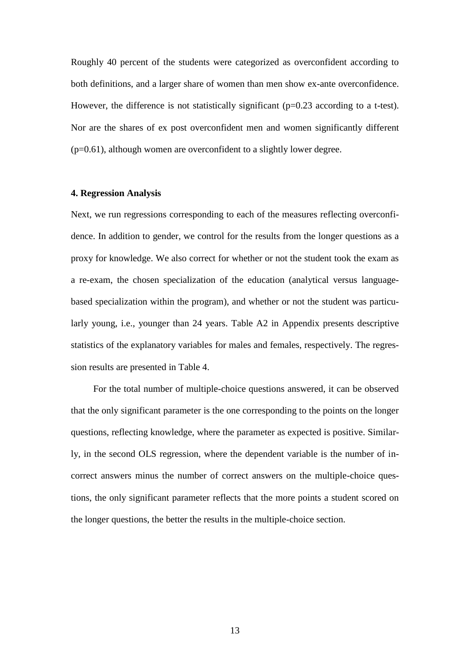Roughly 40 percent of the students were categorized as overconfident according to both definitions, and a larger share of women than men show ex-ante overconfidence. However, the difference is not statistically significant  $(p=0.23 \text{ according to a t-test})$ . Nor are the shares of ex post overconfident men and women significantly different (p=0.61), although women are overconfident to a slightly lower degree.

### **4. Regression Analysis**

Next, we run regressions corresponding to each of the measures reflecting overconfidence. In addition to gender, we control for the results from the longer questions as a proxy for knowledge. We also correct for whether or not the student took the exam as a re-exam, the chosen specialization of the education (analytical versus languagebased specialization within the program), and whether or not the student was particularly young, i.e., younger than 24 years. Table A2 in Appendix presents descriptive statistics of the explanatory variables for males and females, respectively. The regression results are presented in Table 4.

For the total number of multiple-choice questions answered, it can be observed that the only significant parameter is the one corresponding to the points on the longer questions, reflecting knowledge, where the parameter as expected is positive. Similarly, in the second OLS regression, where the dependent variable is the number of incorrect answers minus the number of correct answers on the multiple-choice questions, the only significant parameter reflects that the more points a student scored on the longer questions, the better the results in the multiple-choice section.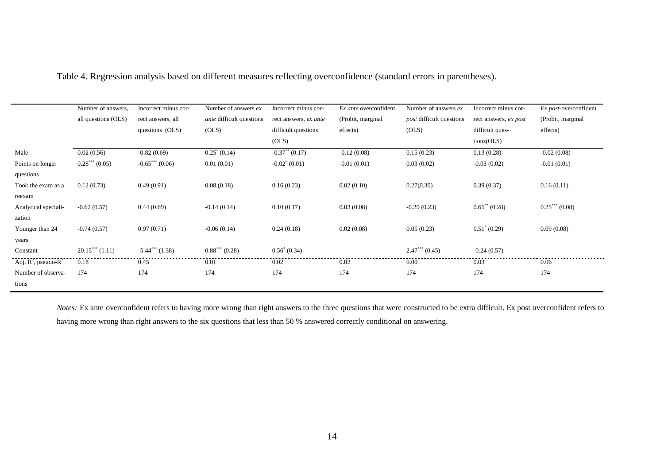|                            | Number of answers,  | Incorrect minus cor- | Number of answers ex            | Incorrect minus cor-  | Ex ante overconfident | Number of answers ex            | Incorrect minus cor-     | Ex post-overconfident |
|----------------------------|---------------------|----------------------|---------------------------------|-----------------------|-----------------------|---------------------------------|--------------------------|-----------------------|
|                            | all questions (OLS) | rect answers, all    | <i>ante</i> difficult questions | rect answers, ex ante | (Probit, marginal     | <i>post</i> difficult questions | rect answers, ex post    | (Probit, marginal     |
|                            |                     | questions (OLS)      | (OLS)                           | difficult questions   | effects)              | (OLS)                           | difficult ques-          | effects)              |
|                            |                     |                      |                                 | (OLS)                 |                       |                                 | tions(OLS)               |                       |
| Male                       | 0.02(0.56)          | $-0.82(0.69)$        | $0.25^* (0.14)$                 | $-0.37$ ** $(0.17)$   | $-0.12(0.08)$         | 0.15(0.23)                      | 0.13(0.28)               | $-0.02(0.08)$         |
| Points on longer           | $0.28***(0.05)$     | $-0.65***(0.06)$     | 0.01(0.01)                      | $-0.02^*(0.01)$       | $-0.01(0.01)$         | 0.03(0.02)                      | $-0.03(0.02)$            | $-0.01(0.01)$         |
| questions                  |                     |                      |                                 |                       |                       |                                 |                          |                       |
| Took the exam as a         | 0.12(0.73)          | 0.49(0.91)           | 0.08(0.18)                      | 0.16(0.23)            | 0.02(0.10)            | 0.27(0.30)                      | 0.39(0.37)               | 0.16(0.11)            |
| reexam                     |                     |                      |                                 |                       |                       |                                 |                          |                       |
| Analytical speciali-       | $-0.62(0.57)$       | 0.44(0.69)           | $-0.14(0.14)$                   | 0.10(0.17)            | 0.03(0.08)            | $-0.29(0.23)$                   | $0.65^{\ast\ast}$ (0.28) | $0.25***(0.08)$       |
| zation                     |                     |                      |                                 |                       |                       |                                 |                          |                       |
| Younger than 24            | $-0.74(0.57)$       | 0.97(0.71)           | $-0.06(0.14)$                   | 0.24(0.18)            | 0.02(0.08)            | 0.05(0.23)                      | $0.51^* (0.29)$          | 0.09(0.08)            |
| years                      |                     |                      |                                 |                       |                       |                                 |                          |                       |
| Constant                   | $20.15***(1.11)$    | $-5.44***(1.38)$     | $0.88***(0.28)$                 | $0.56^* (0.34)$       |                       | $2.47***(0.45)$                 | $-0.24(0.57)$            |                       |
| Adj. $R^2$ , pseudo- $R^2$ | 0.18                | 0.45                 | 0.01                            | 0.02                  | 0.02                  | 0.00                            | 0.03                     | 0.06                  |
| Number of observa-         | 174                 | 174                  | 174                             | 174                   | 174                   | 174                             | 174                      | 174                   |
| tions                      |                     |                      |                                 |                       |                       |                                 |                          |                       |

Table 4. Regression analysis based on different measures reflecting overconfidence (standard errors in parentheses).

*Notes*: Ex ante overconfident refers to having more wrong than right answers to the three questions that were constructed to be extra difficult. Ex post overconfident refers to having more wrong than right answers to the six questions that less than 50 % answered correctly conditional on answering.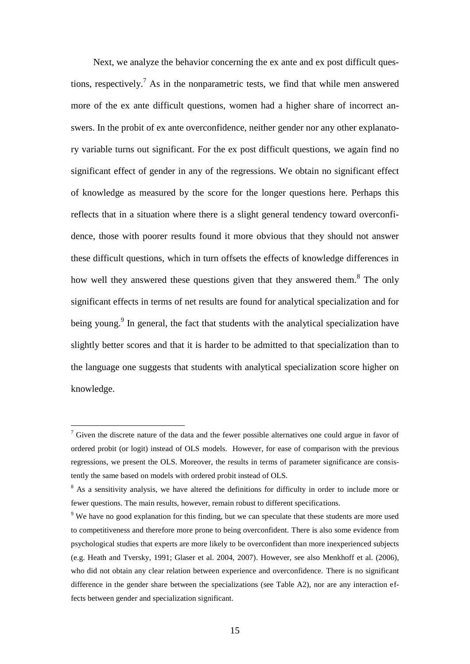Next, we analyze the behavior concerning the ex ante and ex post difficult questions, respectively.<sup>7</sup> As in the nonparametric tests, we find that while men answered more of the ex ante difficult questions, women had a higher share of incorrect answers. In the probit of ex ante overconfidence, neither gender nor any other explanatory variable turns out significant. For the ex post difficult questions, we again find no significant effect of gender in any of the regressions. We obtain no significant effect of knowledge as measured by the score for the longer questions here. Perhaps this reflects that in a situation where there is a slight general tendency toward overconfidence, those with poorer results found it more obvious that they should not answer these difficult questions, which in turn offsets the effects of knowledge differences in how well they answered these questions given that they answered them.<sup>8</sup> The only significant effects in terms of net results are found for analytical specialization and for being young.<sup>9</sup> In general, the fact that students with the analytical specialization have slightly better scores and that it is harder to be admitted to that specialization than to the language one suggests that students with analytical specialization score higher on knowledge.

 $7$  Given the discrete nature of the data and the fewer possible alternatives one could argue in favor of ordered probit (or logit) instead of OLS models. However, for ease of comparison with the previous regressions, we present the OLS. Moreover, the results in terms of parameter significance are consistently the same based on models with ordered probit instead of OLS.

<sup>&</sup>lt;sup>8</sup> As a sensitivity analysis, we have altered the definitions for difficulty in order to include more or fewer questions. The main results, however, remain robust to different specifications.

<sup>&</sup>lt;sup>9</sup> We have no good explanation for this finding, but we can speculate that these students are more used to competitiveness and therefore more prone to being overconfident. There is also some evidence from psychological studies that experts are more likely to be overconfident than more inexperienced subjects (e.g. Heath and Tversky, 1991; Glaser et al. 2004, 2007). However, see also Menkhoff et al. (2006), who did not obtain any clear relation between experience and overconfidence. There is no significant difference in the gender share between the specializations (see Table A2), nor are any interaction effects between gender and specialization significant.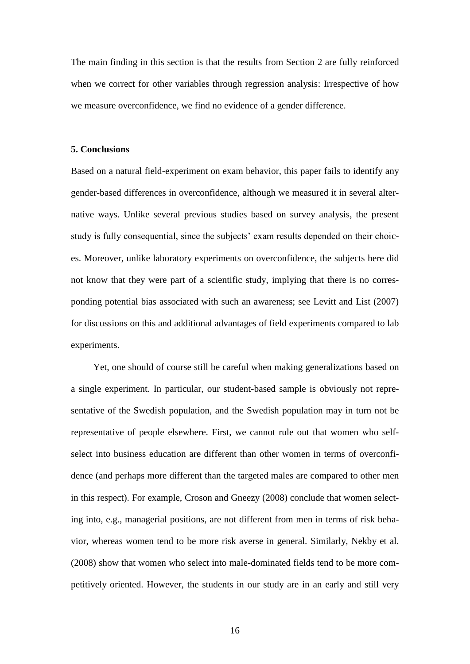The main finding in this section is that the results from Section 2 are fully reinforced when we correct for other variables through regression analysis: Irrespective of how we measure overconfidence, we find no evidence of a gender difference.

#### **5. Conclusions**

Based on a natural field-experiment on exam behavior, this paper fails to identify any gender-based differences in overconfidence, although we measured it in several alternative ways. Unlike several previous studies based on survey analysis, the present study is fully consequential, since the subjects' exam results depended on their choices. Moreover, unlike laboratory experiments on overconfidence, the subjects here did not know that they were part of a scientific study, implying that there is no corresponding potential bias associated with such an awareness; see Levitt and List (2007) for discussions on this and additional advantages of field experiments compared to lab experiments.

Yet, one should of course still be careful when making generalizations based on a single experiment. In particular, our student-based sample is obviously not representative of the Swedish population, and the Swedish population may in turn not be representative of people elsewhere. First, we cannot rule out that women who selfselect into business education are different than other women in terms of overconfidence (and perhaps more different than the targeted males are compared to other men in this respect). For example, Croson and Gneezy (2008) conclude that women selecting into, e.g., managerial positions, are not different from men in terms of risk behavior, whereas women tend to be more risk averse in general. Similarly, Nekby et al. (2008) show that women who select into male-dominated fields tend to be more competitively oriented. However, the students in our study are in an early and still very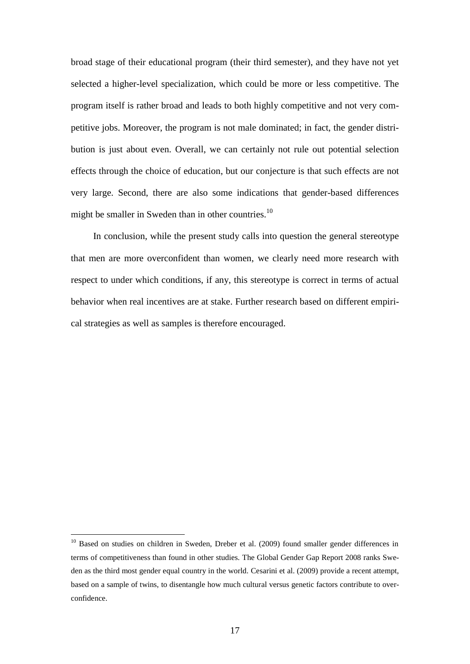broad stage of their educational program (their third semester), and they have not yet selected a higher-level specialization, which could be more or less competitive. The program itself is rather broad and leads to both highly competitive and not very competitive jobs. Moreover, the program is not male dominated; in fact, the gender distribution is just about even. Overall, we can certainly not rule out potential selection effects through the choice of education, but our conjecture is that such effects are not very large. Second, there are also some indications that gender-based differences might be smaller in Sweden than in other countries.<sup>10</sup>

In conclusion, while the present study calls into question the general stereotype that men are more overconfident than women, we clearly need more research with respect to under which conditions, if any, this stereotype is correct in terms of actual behavior when real incentives are at stake. Further research based on different empirical strategies as well as samples is therefore encouraged.

<sup>&</sup>lt;sup>10</sup> Based on studies on children in Sweden, Dreber et al. (2009) found smaller gender differences in terms of competitiveness than found in other studies. The Global Gender Gap Report 2008 ranks Sweden as the third most gender equal country in the world. Cesarini et al. (2009) provide a recent attempt, based on a sample of twins, to disentangle how much cultural versus genetic factors contribute to overconfidence.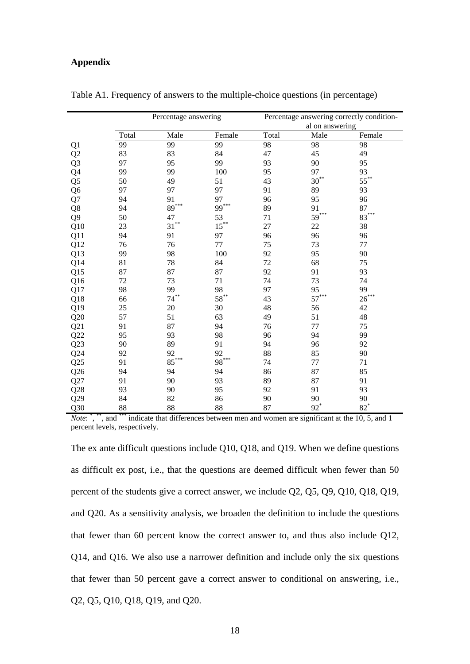## **Appendix**

|                |       | Percentage answering |         | Percentage answering correctly condition- |                 |           |  |  |
|----------------|-------|----------------------|---------|-------------------------------------------|-----------------|-----------|--|--|
|                |       |                      |         |                                           | al on answering |           |  |  |
|                | Total | Male                 | Female  | Total                                     | Male            | Female    |  |  |
| Q1             | 99    | 99                   | 99      | 98                                        | 98              | 98        |  |  |
| Q <sub>2</sub> | 83    | 83                   | 84      | 47                                        | 45              | 49        |  |  |
| Q <sub>3</sub> | 97    | 95                   | 99      | 93                                        | 90              | 95        |  |  |
| Q <sub>4</sub> | 99    | 99                   | 100     | 95                                        | 97              | 93        |  |  |
| Q <sub>5</sub> | 50    | 49                   | 51      | 43                                        | $30^{**}$       | $55^{**}$ |  |  |
| Q <sub>6</sub> | 97    | 97                   | 97      | 91                                        | 89              | 93        |  |  |
| Q7             | 94    | 91                   | 97      | 96                                        | 95              | 96        |  |  |
| Q8             | 94    | $89^{***}\,$         | $99***$ | 89                                        | 91              | 87        |  |  |
| Q <sub>9</sub> | 50    | $47\,$               | 53      | 71                                        | $59***$         | $83***$   |  |  |
| Q10            | 23    | $31***$              | $15***$ | 27                                        | 22              | 38        |  |  |
| Q11            | 94    | 91                   | 97      | 96                                        | 96              | 96        |  |  |
| Q12            | 76    | 76                   | 77      | 75                                        | 73              | 77        |  |  |
| Q13            | 99    | 98                   | 100     | 92                                        | 95              | 90        |  |  |
| Q14            | 81    | 78                   | 84      | 72                                        | 68              | 75        |  |  |
| Q15            | 87    | 87                   | 87      | 92                                        | 91              | 93        |  |  |
| Q16            | 72    | 73                   | 71      | 74                                        | 73              | 74        |  |  |
| Q17            | 98    | 99                   | 98      | 97                                        | 95              | 99        |  |  |
| Q18            | 66    | $74***$              | $58***$ | 43                                        | $57***$         | $26***$   |  |  |
| Q19            | 25    | 20                   | 30      | 48                                        | 56              | 42        |  |  |
| Q20            | 57    | 51                   | 63      | 49                                        | 51              | 48        |  |  |
| Q21            | 91    | 87                   | 94      | 76                                        | 77              | 75        |  |  |
| Q22            | 95    | 93                   | 98      | 96                                        | 94              | 99        |  |  |
| Q23            | 90    | 89                   | 91      | 94                                        | 96              | 92        |  |  |
| Q24            | 92    | 92                   | 92      | 88                                        | 85              | 90        |  |  |
| Q25            | 91    | $85***$              | 98***   | 74                                        | 77              | 71        |  |  |
| Q26            | 94    | 94                   | 94      | 86                                        | 87              | 85        |  |  |
| Q27            | 91    | 90                   | 93      | 89                                        | 87              | 91        |  |  |
| Q28            | 93    | 90                   | 95      | 92                                        | 91              | 93        |  |  |
| Q29            | 84    | 82                   | 86      | 90                                        | 90              | 90        |  |  |
| Q30            | 88    | 88                   | 88      | 87                                        | $92^*$          | $82^*$    |  |  |

Table A1. Frequency of answers to the multiple-choice questions (in percentage)

*Note*: ", "", and "\*\*" indicate that differences between men and women are significant at the 10, 5, and 1 percent levels, respectively.

The ex ante difficult questions include Q10, Q18, and Q19. When we define questions as difficult ex post, i.e., that the questions are deemed difficult when fewer than 50 percent of the students give a correct answer, we include Q2, Q5, Q9, Q10, Q18, Q19, and Q20. As a sensitivity analysis, we broaden the definition to include the questions that fewer than 60 percent know the correct answer to, and thus also include Q12, Q14, and Q16. We also use a narrower definition and include only the six questions that fewer than 50 percent gave a correct answer to conditional on answering, i.e., Q2, Q5, Q10, Q18, Q19, and Q20.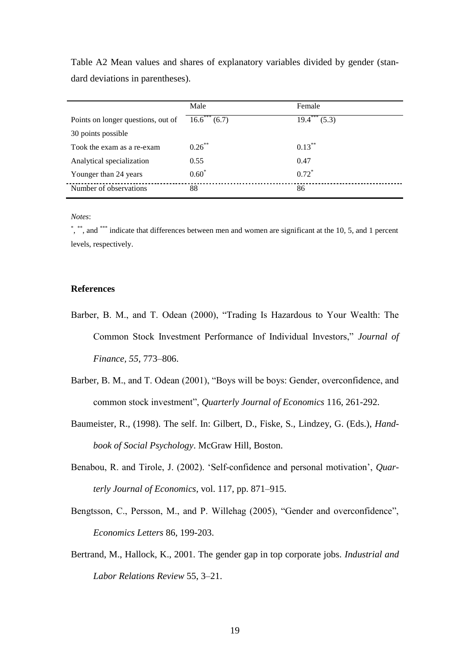Table A2 Mean values and shares of explanatory variables divided by gender (standard deviations in parentheses).

|                                    | Male                | Female                          |
|------------------------------------|---------------------|---------------------------------|
| Points on longer questions, out of | $16.6$ ***<br>(6.7) | (5.3)<br>$19.4$ <sup>----</sup> |
| 30 points possible                 |                     |                                 |
| Took the exam as a re-exam         | $0.26***$           | $0.13***$                       |
| Analytical specialization          | 0.55                | 0.47                            |
| Younger than 24 years              | $0.60*$             | $0.72^*$                        |
| Number of observations             | 88                  | 86                              |

*Notes*:

\*, \*\*, and \*\*\* indicate that differences between men and women are significant at the 10, 5, and 1 percent levels, respectively.

# **References**

- Barber, B. M., and T. Odean (2000), "Trading Is Hazardous to Your Wealth: The Common Stock Investment Performance of Individual Investors," Journal of *Finance, 55*, 773–806.
- Barber, B. M., and T. Odean (2001), "Boys will be boys: Gender, overconfidence, and common stock investment", *Quarterly Journal of Economics* 116, 261-292.
- Baumeister, R., (1998). The self. In: Gilbert, D., Fiske, S., Lindzey, G. (Eds.), *Handbook of Social Psychology*. McGraw Hill, Boston.
- Benabou, R. and Tirole, J. (2002). 'Self-confidence and personal motivation', *Quarterly Journal of Economics*, vol. 117, pp. 871–915.
- Bengtsson, C., Persson, M., and P. Willehag (2005), "Gender and overconfidence", *Economics Letters* 86, 199-203.
- Bertrand, M., Hallock, K., 2001. The gender gap in top corporate jobs. *Industrial and Labor Relations Review* 55, 3–21.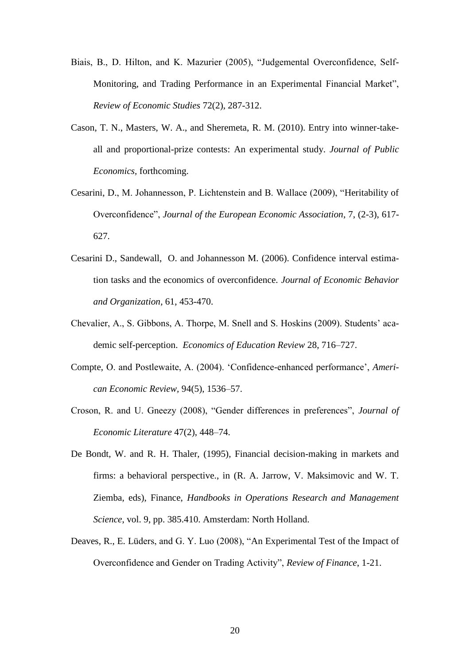- Biais, B., D. Hilton, and K. Mazurier (2005), "Judgemental Overconfidence, Self-Monitoring, and Trading Performance in an Experimental Financial Market". *Review of Economic Studies* 72(2), 287-312.
- Cason, T. N., Masters, W. A., and Sheremeta, R. M. (2010). Entry into winner-takeall and proportional-prize contests: An experimental study. *Journal of Public Economics,* forthcoming.
- Cesarini, D., M. Johannesson, P. Lichtenstein and B. Wallace (2009), "Heritability of Overconfidence‖, *Journal of the European Economic Association*, 7, (2-3), 617- 627.
- Cesarini D., Sandewall, O. and Johannesson M. (2006). Confidence interval estimation tasks and the economics of overconfidence. *Journal of Economic Behavior and Organization*, 61, 453-470.
- Chevalier, A., S. Gibbons, A. Thorpe, M. Snell and S. Hoskins (2009). Students' academic self-perception. *Economics of Education Review* 28, 716–727.
- Compte, O. and Postlewaite, A. (2004). ‗Confidence-enhanced performance', *American Economic Review,* 94(5), 1536–57.
- Croson, R. and U. Gneezy (2008), "Gender differences in preferences", *Journal of Economic Literature* 47(2), 448–74.
- De Bondt, W. and R. H. Thaler, (1995), Financial decision-making in markets and firms: a behavioral perspective., in (R. A. Jarrow, V. Maksimovic and W. T. Ziemba, eds), Finance, *Handbooks in Operations Research and Management Science*, vol. 9, pp. 385.410. Amsterdam: North Holland.
- Deaves, R., E. Lüders, and G. Y. Luo (2008), "An Experimental Test of the Impact of Overconfidence and Gender on Trading Activity", *Review of Finance*, 1-21.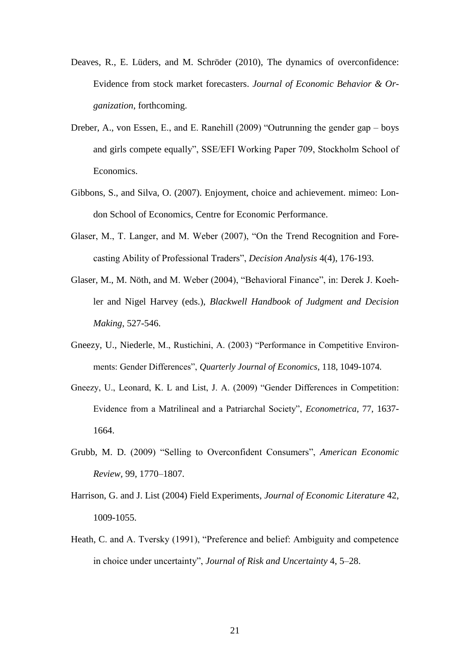- Deaves, R., E. Lüders, and M. Schröder (2010), [The dynamics of overconfidence:](http://www.sciencedirect.com.ezproxy.ub.gu.se/science?_ob=ArticleURL&_udi=B6V8F-505F9CF-1&_user=646099&_coverDate=05%2F26%2F2010&_alid=1394212641&_rdoc=2&_fmt=high&_orig=search&_cdi=5869&_sort=r&_docanchor=&view=c&_ct=47&_acct=C000034699&_version=1&_urlVersion=0&_userid=646099&md5=3e6357c5b42accb7dc854432b6426ced)  [Evidence from stock market forecasters.](http://www.sciencedirect.com.ezproxy.ub.gu.se/science?_ob=ArticleURL&_udi=B6V8F-505F9CF-1&_user=646099&_coverDate=05%2F26%2F2010&_alid=1394212641&_rdoc=2&_fmt=high&_orig=search&_cdi=5869&_sort=r&_docanchor=&view=c&_ct=47&_acct=C000034699&_version=1&_urlVersion=0&_userid=646099&md5=3e6357c5b42accb7dc854432b6426ced) *Journal of Economic Behavior & Organization*, forthcoming.
- Dreber, A., von Essen, E., and E. Ranehill  $(2009)$  "Outrunning the gender gap boys and girls compete equally", SSE/EFI Working Paper 709, Stockholm School of Economics.
- Gibbons, S., and Silva, O. (2007). Enjoyment, choice and achievement. mimeo: London School of Economics, Centre for Economic Performance.
- Glaser, M., T. Langer, and M. Weber (2007), "On the Trend Recognition and Forecasting Ability of Professional Traders<sup>"</sup>, *Decision Analysis* 4(4), 176-193.
- Glaser, M., M. Nöth, and M. Weber (2004), "Behavioral Finance", in: Derek J. Koehler and Nigel Harvey (eds.), *Blackwell Handbook of Judgment and Decision Making*, 527-546.
- Gneezy, U., Niederle, M., Rustichini, A. (2003) "Performance in Competitive Environments: Gender Differences", *Quarterly Journal of Economics*, 118, 1049-1074.
- Gneezy, U., Leonard, K. L and List, J. A. (2009) "Gender Differences in Competition: Evidence from a Matrilineal and a Patriarchal Society", *Econometrica*, 77, 1637-1664.
- Grubb, M. D. (2009) "Selling to Overconfident Consumers", *American Economic Review,* 99, 1770–1807.
- Harrison, G. and J. List (2004) Field Experiments, *Journal of Economic Literature* 42, 1009-1055.
- Heath, C. and A. Tversky (1991), "Preference and belief: Ambiguity and competence in choice under uncertainty", *Journal of Risk and Uncertainty* 4, 5–28.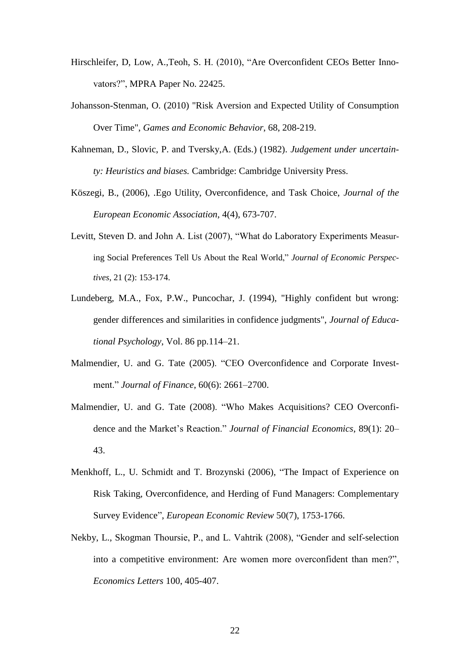- Hirschleifer, D, Low, A., Teoh, S. H. (2010), "Are Overconfident CEOs Better Innovators?". MPRA Paper No. 22425.
- Johansson-Stenman, O. (2010) "Risk Aversion and Expected Utility of Consumption Over Time", *Games and Economic Behavior*, 68, 208-219.
- Kahneman, D., Slovic, P. and Tversky,A. (Eds.) (1982). *Judgement under uncertainty: Heuristics and biases.* Cambridge: Cambridge University Press.
- Köszegi, B., (2006), .Ego Utility, Overconfidence, and Task Choice, *Journal of the European Economic Association*, 4(4), 673-707.
- Levitt, Steven D. and John A. List (2007), "What do Laboratory Experiments Measuring Social Preferences Tell Us About the Real World," Journal of Economic Perspec*tives*, 21 (2): 153-174[.](http://dx.doi.org/10.1037/0022-0663.86.1.114)
- [Lundeberg, M.A., Fox, P.W., Puncochar, J. \(1994\), "Highly confident but wrong:](http://dx.doi.org/10.1037/0022-0663.86.1.114)  [gender differences and similarities in confidence judgments",](http://dx.doi.org/10.1037/0022-0663.86.1.114) *Journal of Educational Psychology*[, Vol. 86 pp.114–21.](http://dx.doi.org/10.1037/0022-0663.86.1.114)
- Malmendier, U. and G. Tate (2005). "CEO Overconfidence and Corporate Investment.‖ *Journal of Finance*, 60(6): 2661–2700.
- Malmendier, U. and G. Tate (2008). "Who Makes Acquisitions? CEO Overconfidence and the Market's Reaction.‖ *Journal of Financial Economics*, 89(1): 20– 43.
- Menkhoff, L., U. Schmidt and T. Brozynski (2006), "The Impact of Experience on Risk Taking, Overconfidence, and Herding of Fund Managers: Complementary Survey Evidence", *European Economic Review* 50(7), 1753-1766.
- Nekby, L., Skogman Thoursie, P., and L. Vahtrik (2008), "Gender and self-selection into a competitive environment: Are women more overconfident than men?", *Economics Letters* 100, 405-407.